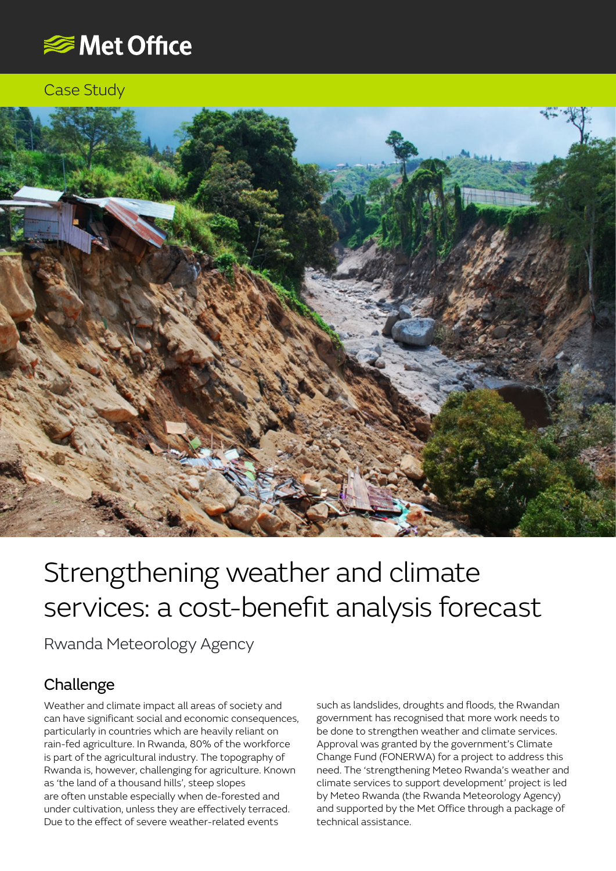

#### Case Study



# Strengthening weather and climate services: a cost-benefit analysis forecast

Rwanda Meteorology Agency

## Challenge

Weather and climate impact all areas of society and can have significant social and economic consequences, particularly in countries which are heavily reliant on rain-fed agriculture. In Rwanda, 80% of the workforce is part of the agricultural industry. The topography of Rwanda is, however, challenging for agriculture. Known as 'the land of a thousand hills', steep slopes are often unstable especially when de-forested and under cultivation, unless they are effectively terraced. Due to the effect of severe weather-related events

such as landslides, droughts and floods, the Rwandan government has recognised that more work needs to be done to strengthen weather and climate services. Approval was granted by the government's Climate Change Fund (FONERWA) for a project to address this need. The 'strengthening Meteo Rwanda's weather and climate services to support development' project is led by Meteo Rwanda (the Rwanda Meteorology Agency) and supported by the Met Office through a package of technical assistance.